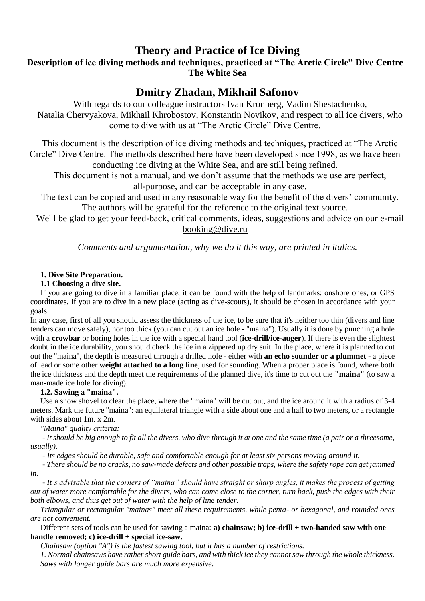# **Theory and Practice of Ice Diving**

**Description of ice diving methods and techniques, practiced at "The Arctic Circle" Dive Сentre The White Sea**

# **Dmitry Zhadan, Mikhail Safonov**

With regards to our colleague instructors Ivan Kronberg, Vadim Shestachenko, Natalia Chervyakova, Mikhail Khrobostov, Konstantin Novikov, and respect to all ice divers, who come to dive with us at "The Arctic Circle" Dive Centre.

This document is the description of ice diving methods and techniques, practiced at "The Arctic Circle" Dive Centre. The methods described here have been developed since 1998, as we have been conducting ice diving at the White Sea, and are still being refined.

This document is not a manual, and we don't assume that the methods we use are perfect, all-purpose, and can be acceptable in any case.

The text can be copied and used in any reasonable way for the benefit of the divers' community. The authors will be grateful for the reference to the original text source.

We'll be glad to get your feed-back, critical comments, ideas, suggestions and advice on our e-mail booking@dive.ru

*Comments and argumentation, why we do it this way, are printed in italics.*

# **1. Dive Site Preparation.**

# **1.1 Choosing a dive site.**

If you are going to dive in a familiar place, it can be found with the help of landmarks: onshore ones, or GPS coordinates. If you are to dive in a new place (acting as dive-scouts), it should be chosen in accordance with your goals.

In any case, first of all you should assess the thickness of the ice, to be sure that it's neither too thin (divers and line tenders can move safely), nor too thick (you can cut out an ice hole - "maina"). Usually it is done by punching a hole with a **crowbar** or boring holes in the ice with a special hand tool (**ice-drill/ice-auger**). If there is even the slightest doubt in the ice durability, you should check the ice in a zippered up dry suit. In the place, where it is planned to cut out the "maina", the depth is measured through a drilled hole - either with **an echo sounder or a plummet** - a piece of lead or some other **weight attached to a long line**, used for sounding. When a proper place is found, where both the ice thickness and the depth meet the requirements of the planned dive, it's time to cut out the **"maina"** (to saw a man-made ice hole for diving).

# **1.2. Sawing a "maina".**

Use a snow shovel to clear the place, where the "maina" will be cut out, and the ice around it with a radius of 3-4 meters. Mark the future "maina": an equilateral triangle with a side about one and a half to two meters, or a rectangle with sides about 1m. x 2m.

*"Maina" quality сriteria:*

*- It should be big enough to fit all the divers, who dive through it at one and the same time (a pair or a threesome, usually).*

*- Its edges should be durable, safe and comfortable enough for at least six persons moving around it.*

*- There should be no cracks, no saw-made defects and other possible traps, where the safety rope can get jammed in.*

*- It's advisable that the corners of "maina" should have straight or sharp angles, it makes the process of getting out of water more comfortable for the divers, who can come close to the corner, turn back, push the edges with their both elbows, and thus get out of water with the help of line tender.* 

*Triangular or rectangular "mainas" meet all these requirements, while penta- or hexagonal, and rounded ones are not convenient.*

Different sets of tools can be used for sawing a maina: **a) chainsaw; b) ice-drill + two-handed saw with one handle removed; c) ice-drill + special ice-saw.**

*Chainsaw (option "A") is the fastest sawing tool, but it has a number of restrictions.*

*1. Normal chainsaws have rather short guide bars, and with thick ice they cannot saw through the whole thickness. Saws with longer guide bars are much more expensive.*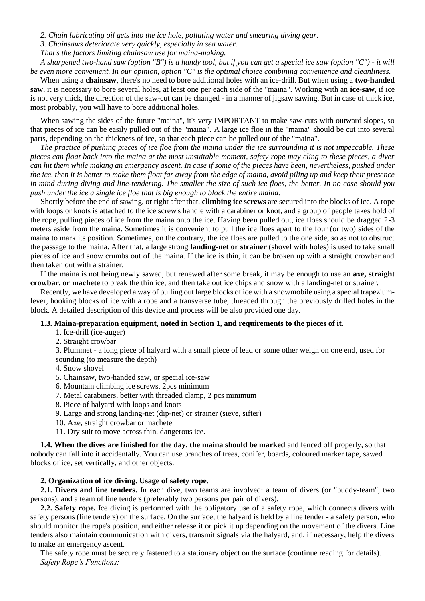*2. Chain lubricating oil gets into the ice hole, polluting water and smearing diving gear.*

*3. Chainsaws deteriorate very quickly, especially in sea water.* 

*That's the factors limiting chainsaw use for maina-making.*

*A sharpened two-hand saw (option "B") is a handy tool, but if you can get a special ice saw (option "C") - it will be even more convenient. In our opinion, option "C" is the optimal choice combining convenience and cleanliness.*

When using a **chainsaw**, there's no need to bore additional holes with an ice-drill. But when using a **two-handed saw**, it is necessary to bore several holes, at least one per each side of the "maina". Working with an **ice-saw**, if ice is not very thick, the direction of the saw-cut can be changed - in a manner of jigsaw sawing. But in case of thick ice, most probably, you will have to bore additional holes.

When sawing the sides of the future "maina", it's very IMPORTANT to make saw-cuts with outward slopes, so that pieces of ice can be easily pulled out of the "maina". A large ice floe in the "maina" should be cut into several parts, depending on the thickness of ice, so that each piece can be pulled out of the "maina".

*The practice of pushing pieces of ice floe from the maina under the ice surrounding it is not impeccable. These pieces can float back into the maina at the most unsuitable moment, safety rope may cling to these pieces, a diver can hit them while making an emergency ascent. In case if some of the pieces have been, nevertheless, pushed under the ice, then it is better to make them float far away from the edge of maina, avoid piling up and keep their presence in mind during diving and line-tendering. The smaller the size of such ice floes, the better. In no case should you push under the ice a single ice floe that is big enough to block the entire maina.*

Shortly before the end of sawing, or right after that, **climbing ice screws** are secured into the blocks of ice. A rope with loops or knots is attached to the ice screw's handle with a carabiner or knot, and a group of people takes hold of the rope, pulling pieces of ice from the maina onto the ice. Having been pulled out, ice floes should be dragged 2-3 meters aside from the maina. Sometimes it is convenient to pull the ice floes apart to the four (or two) sides of the maina to mark its position. Sometimes, on the contrary, the ice floes are pulled to the one side, so as not to obstruct the passage to the maina. After that, a large strong **landing-net or strainer** (shovel with holes) is used to take small pieces of ice and snow crumbs out of the maina. If the ice is thin, it can be broken up with a straight crowbar and then taken out with a strainer.

If the maina is not being newly sawed, but renewed after some break, it may be enough to use an **axe, straight crowbar, or machete** to break the thin ice, and then take out ice chips and snow with a landing-net or strainer.

Recently, we have developed a way of pulling out large blocks of ice with a snowmobile using a special trapeziumlever, hooking blocks of ice with a rope and a transverse tube, threaded through the previously drilled holes in the block. A detailed description of this device and process will be also provided one day.

#### **1.3. Maina-preparation equipment, noted in Section 1, and requirements to the pieces of it.**

- 1. Ice-drill (ice-auger)
- 2. Straight crowbar

3. Plummet - a long piece of halyard with a small piece of lead or some other weigh on one end, used for sounding (to measure the depth)

- 4. Snow shovel
- 5. Chainsaw, two-handed saw, or special ice-saw
- 6. Mountain climbing ice screws, 2pcs minimum
- 7. Metal carabiners, better with threaded clamp, 2 pcs minimum
- 8. Piece of halyard with loops and knots
- 9. Large and strong landing-net (dip-net) or strainer (sieve, sifter)
- 10. Axe, straight crowbar or machete
- 11. Dry suit to move across thin, dangerous ice.

**1.4. When the dives are finished for the day, the maina should be marked** and fenced off properly, so that nobody can fall into it accidentally. You can use branches of trees, conifer, boards, coloured marker tape, sawed blocks of ice, set vertically, and other objects.

### **2. Organization of ice diving. Usage of safety rope.**

**2.1. Divers and line tenders.** In each dive, two teams are involved: a team of divers (or "buddy-team", two persons), and a team of line tenders (preferably two persons per pair of divers).

**2.2. Safety rope.** Ice diving is performed with the obligatory use of a safety rope, which connects divers with safety persons (line tenders) on the surface. On the surface, the halyard is held by a line tender - a safety person, who should monitor the rope's position, and either release it or pick it up depending on the movement of the divers. Line tenders also maintain communication with divers, transmit signals via the halyard, and, if necessary, help the divers to make an emergency ascent.

The safety rope must be securely fastened to a stationary object on the surface (continue reading for details). *Safety Rope's Functions:*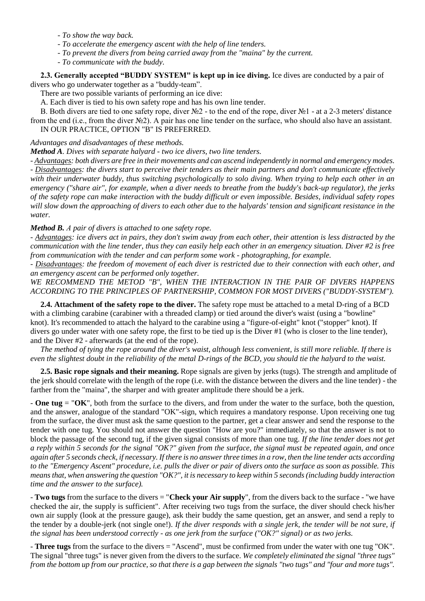- *- To show the way back.*
- *- To accelerate the emergency ascent with the help of line tenders.*
- *- To prevent the divers from being carried away from the "maina" by the current.*
- *- To communicate with the buddy.*

**2.3. Generally accepted "BUDDY SYSTEM" is kept up in ice diving.** Ice dives are conducted by a pair of divers who go underwater together as a "buddy-team".

There are two possible variants of performing an ice dive:

A. Each diver is tied to his own safety rope and has his own line tender.

B. Both divers are tied to one safety rope, diver №2 - to the end of the rope, diver №1 - at a 2-3 meters' distance from the end (i.e., from the diver №2). A pair has one line tender on the surface, who should also have an assistant. IN OUR PRACTICE, OPTION "B" IS PREFERRED.

### *Advantages and disadvantages of these methods.*

*Method A. Dives with separate halyard - two ice divers, two line tenders.*

*- Advantages: both divers are free in their movements and can ascend independently in normal and emergency modes. - Disadvantages: the divers start to perceive their tenders as their main partners and don't communicate effectively with their underwater buddy, thus switching psychologically to solo diving. When trying to help each other in an emergency ("share air", for example, when a diver needs to breathe from the buddy's back-up regulator), the jerks of the safety rope can make interaction with the buddy difficult or even impossible. Besides, individual safety ropes will slow down the approaching of divers to each other due to the halyards' tension and significant resistance in the water.*

*Method B. А pair of divers is attached to one safety rope.*

*- Advantages: ice divers act in pairs, they don't swim away from each other, their attention is less distracted by the communication with the line tender, thus they can easily help each other in an emergency situation. Diver #2 is free from communication with the tender and can perform some work - photographing, for example.*

*- Disadvantages: the freedom of movement of each diver is restricted due to their connection with each other, and an emergency ascent can be performed only together.*

WE RECOMMEND THE METOD "B", WHEN THE INTERACTION IN THE PAIR OF DIVERS HAPPENS *ACCORDING TO THE PRINCIPLES OF PARTNERSHIP, COMMON FOR MOST DIVERS ("BUDDY-SYSTEM").*

**2.4. Attachment of the safety rope to the diver.** The safety rope must be attached to a metal D-ring of a BCD with a climbing carabine (carabiner with a threaded clamp) or tied around the diver's waist (using a "bowline" knot). It's recommended to attach the halyard to the carabine using a "figure-of-eight" knot ("stopper" knot). If divers go under water with one safety rope, the first to be tied up is the Diver #1 (who is closer to the line tender), and the Diver #2 - afterwards (at the end of the rope).

*The method of tying the rope around the diver's waist, although less convenient, is still more reliable. If there is even the slightest doubt in the reliability of the metal D-rings of the BCD, you should tie the halyard to the waist.*

**2.5. Basic rope signals and their meaning.** Rope signals are given by jerks (tugs). The strength and amplitude of the jerk should correlate with the length of the rope (i.e. with the distance between the divers and the line tender) - the farther from the "maina", the sharper and with greater amplitude there should be a jerk.

- **One tug** = "**OK**", both from the surface to the divers, and from under the water to the surface, both the question, and the answer, analogue of the standard "OK"-sign, which requires a mandatory response. Upon receiving one tug from the surface, the diver must ask the same question to the partner, get a clear answer and send the response to the tender with one tug. You should not answer the question "How are you?" immediately, so that the answer is not to block the passage of the second tug, if the given signal consists of more than one tug. *If the line tender does not get a reply within 5 seconds for the signal "OK?" given from the surface, the signal must be repeated again, and once again after 5 seconds check, if necessary. If there is no answer three times in a row, then the line tender acts according to the "Emergency Ascent" procedure, i.e. pulls the diver or pair of divers onto the surface as soon as possible. This means that, when answering the question "OK?", it is necessary to keep within 5 seconds (including buddy interaction time and the answer to the surface).*

- **Two tugs** from the surface to the divers = "**Check your Air supply**", from the divers back to the surface - "we have checked the air, the supply is sufficient". After receiving two tugs from the surface, the diver should check his/her own air supply (look at the pressure gauge), ask their buddy the same question, get an answer, and send a reply to the tender by a double-jerk (not single one!). *If the diver responds with a single jerk, the tender will be not sure, if the signal has been understood correctly - as one jerk from the surface ("OK?" signal) or as two jerks.*

- **Three tugs** from the surface to the divers = "Ascend", must be confirmed from under the water with one tug "OK". The signal "three tugs" is never given from the divers to the surface. *We completely eliminated the signal "three tugs" from the bottom up from our practice, so that there is a gap between the signals "two tugs" and "four and more tugs".*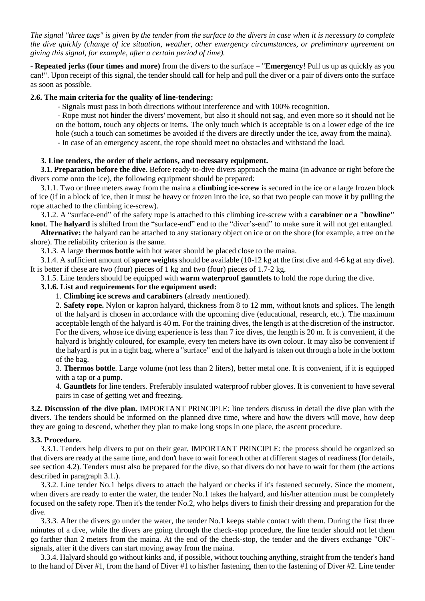*The signal "three tugs" is given by the tender from the surface to the divers in case when it is necessary to complete the dive quickly (change of ice situation, weather, other emergency circumstances, or preliminary agreement on giving this signal, for example, after a certain period of time).*

- **Repeated jerks (four times and more)** from the divers to the surface = "**Emergency**! Pull us up as quickly as you can!". Upon receipt of this signal, the tender should call for help and pull the diver or a pair of divers onto the surface as soon as possible.

## **2.6. The main criteria for the quality of line-tendering:**

- Signals must pass in both directions without interference and with 100% recognition.

- Rope must not hinder the divers' movement, but also it should not sag, and even more so it should not lie on the bottom, touch any objects or items. The only touch which is acceptable is on a lower edge of the ice hole (such a touch can sometimes be avoided if the divers are directly under the ice, away from the maina).

- In case of an emergency ascent, the rope should meet no obstacles and withstand the load.

### **3. Line tenders, the order of their actions, and necessary equipment.**

**3.1. Preparation before the dive.** Before ready-to-dive divers approach the maina (in advance or right before the divers come onto the ice), the following equipment should be prepared:

3.1.1. Two or three meters away from the maina a **climbing ice-screw** is secured in the ice or a large frozen block of ice (if in a block of ice, then it must be heavy or frozen into the ice, so that two people can move it by pulling the rope attached to the climbing ice-screw).

3.1.2. A "surface-end" of the safety rope is attached to this climbing ice-screw with a **carabiner or a "bowline" knot**. The **halyard** is shifted from the "surface-end" end to the "diver's-end" to make sure it will not get entangled.

**Alternative:** the halyard can be attached to any stationary object on ice or on the shore (for example, a tree on the shore). The reliability criterion is the same.

3.1.3. A large **thermos bottle** with hot water should be placed close to the maina.

3.1.4. A sufficient amount of **spare weights** should be available (10-12 kg at the first dive and 4-6 kg at any dive). It is better if these are two (four) pieces of 1 kg and two (four) pieces of 1.7-2 kg.

3.1.5. Line tenders should be equipped with **warm waterproof gauntlets** to hold the rope during the dive.

# **3.1.6. List and requirements for the equipment used:**

1. **Climbing ice screws and carabiners** (already mentioned).

2. **Safety rope.** Nylon or kapron halyard, thickness from 8 to 12 mm, without knots and splices. The length of the halyard is chosen in accordance with the upcoming dive (educational, research, etc.). The maximum acceptable length of the halyard is 40 m. For the training dives, the length is at the discretion of the instructor. For the divers, whose ice diving experience is less than 7 ice dives, the length is 20 m. It is convenient, if the halyard is brightly coloured, for example, every ten meters have its own colour. It may also be convenient if the halyard is put in a tight bag, where a "surface" end of the halyard is taken out through a hole in the bottom of the bag.

3. **Thermos bottle**. Large volume (not less than 2 liters), better metal one. It is convenient, if it is equipped with a tap or a pump.

4. **Gauntlets** for line tenders. Preferably insulated waterproof rubber gloves. It is convenient to have several pairs in case of getting wet and freezing.

**3.2. Discussion of the dive plan.** IMPORTANT PRINCIPLE: line tenders discuss in detail the dive plan with the divers. The tenders should be informed on the planned dive time, where and how the divers will move, how deep they are going to descend, whether they plan to make long stops in one place, the ascent procedure.

#### **3.3. Procedure.**

3.3.1. Tenders help divers to put on their gear. IMPORTANT PRINCIPLE: the process should be organized so that divers are ready at the same time, and don't have to wait for each other at different stages of readiness (for details, see section 4.2). Tenders must also be prepared for the dive, so that divers do not have to wait for them (the actions described in paragraph 3.1.).

3.3.2. Line tender No.1 helps divers to attach the halyard or checks if it's fastened securely. Since the moment, when divers are ready to enter the water, the tender No.1 takes the halyard, and his/her attention must be completely focused on the safety rope. Then it's the tender No.2, who helps divers to finish their dressing and preparation for the dive.

3.3.3. After the divers go under the water, the tender No.1 keeps stable contact with them. During the first three minutes of a dive, while the divers are going through the check-stop procedure, the line tender should not let them go farther than 2 meters from the maina. At the end of the check-stop, the tender and the divers exchange "OK" signals, after it the divers can start moving away from the maina.

3.3.4. Halyard should go without kinks and, if possible, without touching anything, straight from the tender's hand to the hand of Diver #1, from the hand of Diver #1 to his/her fastening, then to the fastening of Diver #2. Line tender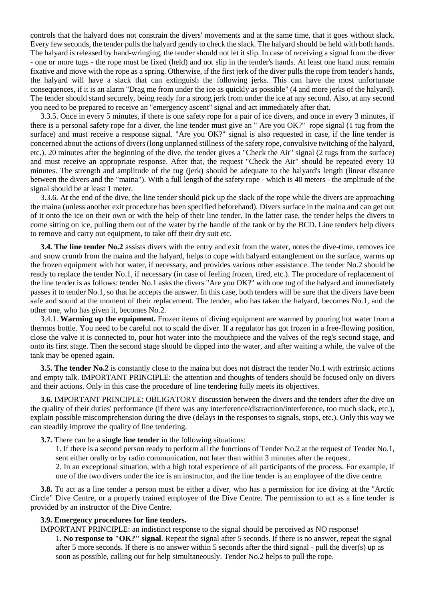controls that the halyard does not constrain the divers' movements and at the same time, that it goes without slack. Every few seconds, the tender pulls the halyard gently to check the slack. The halyard should be held with both hands. The halyard is released by hand-wringing, the tender should not let it slip. In case of receiving a signal from the diver - one or more tugs - the rope must be fixed (held) and not slip in the tender's hands. At least one hand must remain fixative and move with the rope as a spring. Otherwise, if the first jerk of the diver pulls the rope from tender's hands, the halyard will have a slack that can extinguish the following jerks. This can have the most unfortunate consequences, if it is an alarm "Drag me from under the ice as quickly as possible" (4 and more jerks of the halyard). The tender should stand securely, being ready for a strong jerk from under the ice at any second. Also, at any second you need to be prepared to receive an "emergency ascent" signal and act immediately after that.

3.3.5. Once in every 5 minutes, if there is one safety rope for a pair of ice divers, and once in every 3 minutes, if there is a personal safety rope for a diver, the line tender must give an " Are you OK?" rope signal (1 tug from the surface) and must receive a response signal. "Are you OK?" signal is also requested in case, if the line tender is concerned about the actions of divers (long unplanned stillness of the safety rope, convulsive twitching of the halyard, etc.). 20 minutes after the beginning of the dive, the tender gives a "Check the Air" signal (2 tugs from the surface) and must receive an appropriate response. After that, the request "Check the Air" should be repeated every 10 minutes. The strength and amplitude of the tug (jerk) should be adequate to the halyard's length (linear distance between the divers and the "maina"). With a full length of the safety rope - which is 40 meters - the amplitude of the signal should be at least 1 meter.

3.3.6. At the end of the dive, the line tender should pick up the slack of the rope while the divers are approaching the maina (unless another exit procedure has been specified beforehand). Divers surface in the maina and can get out of it onto the ice on their own or with the help of their line tender. In the latter case, the tender helps the divers to come sitting on ice, pulling them out of the water by the handle of the tank or by the BCD. Line tenders help divers to remove and carry out equipment, to take off their dry suit etc.

**3.4. The line tender No.2** assists divers with the entry and exit from the water, notes the dive-time, removes ice and snow crumb from the maina and the halyard, helps to cope with halyard entanglement on the surface, warms up the frozen equipment with hot water, if necessary, and provides various other assistance. The tender No.2 should be ready to replace the tender No.1, if necessary (in case of feeling frozen, tired, etc.). The procedure of replacement of the line tender is as follows: tender No.1 asks the divers "Are you OK?" with one tug of the halyard and immediately passes it to tender No.1, so that he accepts the answer. In this case, both tenders will be sure that the divers have been safe and sound at the moment of their replacement. The tender, who has taken the halyard, becomes No.1, and the other one, who has given it, becomes No.2.

3.4.1. **Warming up the equipment.** Frozen items of diving equipment are warmed by pouring hot water from a thermos bottle. You need to be careful not to scald the diver. If a regulator has got frozen in a free-flowing position, close the valve it is connected to, pour hot water into the mouthpiece and the valves of the reg's second stage, and onto its first stage. Then the second stage should be dipped into the water, and after waiting a while, the valve of the tank may be opened again.

**3.5. The tender No.2** is constantly close to the maina but does not distract the tender No.1 with extrinsic actions and empty talk. IMPORTANT PRINCIPLE: the attention and thoughts of tenders should be focused only on divers and their actions. Only in this case the procedure of line tendering fully meets its objectives.

**3.6.** IMPORTANT PRINCIPLE: OBLIGATORY discussion between the divers and the tenders after the dive on the quality of their duties' performance (if there was any interference/distraction/interference, too much slack, etc.), explain possible miscomprehension during the dive (delays in the responses to signals, stops, etc.). Only this way we can steadily improve the quality of line tendering.

**3.7.** There can be a **single line tender** in the following situations:

1. If there is a second person ready to perform all the functions of Tender No.2 at the request of Tender No.1, sent either orally or by radio communication, not later than within 3 minutes after the request.

2. In an exceptional situation, with a high total experience of all participants of the process. For example, if one of the two divers under the ice is an instructor, and the line tender is an employee of the dive centre.

**3.8.** To act as a line tender a person must be either a diver, who has a permission for ice diving at the "Arctic Circle" Dive Centre, or a properly trained employee of the Dive Centre. The permission to act as a line tender is provided by an instructor of the Dive Centre.

#### **3.9. Emergency procedures for line tenders.**

IMPORTANT PRINCIPLE: an indistinct response to the signal should be perceived as NO response! 1. **No response to "OK?" signal**. Repeat the signal after 5 seconds. If there is no answer, repeat the signal after 5 more seconds. If there is no answer within 5 seconds after the third signal - pull the diver(s) up as soon as possible, calling out for help simultaneously. Tender No.2 helps to pull the rope.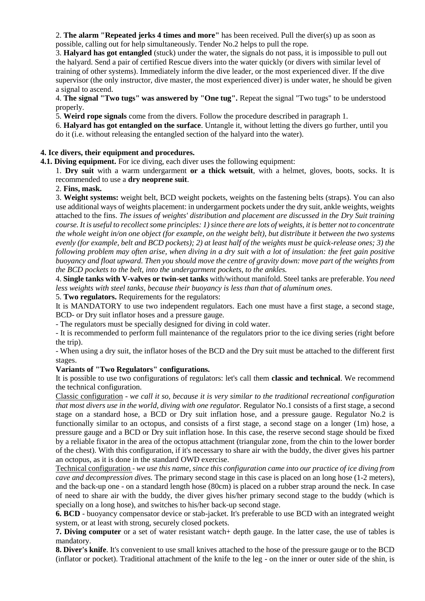2. **The alarm "Repeated jerks 4 times and more"** has been received. Pull the diver(s) up as soon as possible, calling out for help simultaneously. Tender No.2 helps to pull the rope.

3. **Halyard has got entangled** (stuck) under the water, the signals do not pass, it is impossible to pull out the halyard. Send a pair of certified Rescue divers into the water quickly (or divers with similar level of training of other systems). Immediately inform the dive leader, or the most experienced diver. If the dive supervisor (the only instructor, dive master, the most experienced diver) is under water, he should be given a signal to ascend.

4. **The signal "Two tugs" was answered by "One tug".** Repeat the signal "Two tugs" to be understood properly.

5. **Weird rope signals** come from the divers. Follow the procedure described in paragraph 1.

6. **Halyard has got entangled on the surface**. Untangle it, without letting the divers go further, until you do it (i.e. without releasing the entangled section of the halyard into the water).

# **4. Ice divers, their equipment and procedures.**

**4.1. Diving equipment.** For ice diving, each diver uses the following equipment:

1. **Dry suit** with a warm undergarment **or a thick wetsuit**, with a helmet, gloves, boots, socks. It is recommended to use a **dry neoprene suit**.

# 2. **Fins, mask.**

3. **Weight systems:** weight belt, BCD weight pockets, weights on the fastening belts (straps). You can also use additional ways of weights placement: in undergarment pockets under the dry suit, ankle weights, weights attached to the fins. *The issues of weights' distribution and placement are discussed in the Dry Suit training course. It is useful to recollect some principles: 1) since there are lots of weights, it is better not to concentrate the whole weight in/on one object (for example, on the weight belt), but distribute it between the two systems evenly (for example, belt and BCD pockets); 2) at least half of the weights must be quick-release ones; 3) the following problem may often arise, when diving in a dry suit with a lot of insulation: the feet gain positive buoyancy and float upward. Then you should move the centre of gravity down: move part of the weights from the BCD pockets to the belt, into the undergarment pockets, to the ankles.*

4. **Single tanks with V-valves or twin-set tanks** with/without manifold. Steel tanks are preferable. *You need less weights with steel tanks, because their buoyancy is less than that of aluminum ones.* 

5. **Two regulators.** Requirements for the regulators:

It is MANDATORY to use two independent regulators. Each one must have a first stage, a second stage, BCD- or Dry suit inflator hoses and a pressure gauge.

- The regulators must be specially designed for diving in cold water.

- It is recommended to perform full maintenance of the regulators prior to the ice diving series (right before the trip).

- When using a dry suit, the inflator hoses of the BCD and the Dry suit must be attached to the different first stages.

# **Variants of "Two Regulators" configurations.**

It is possible to use two configurations of regulators: let's call them **classic and technical**. We recommend the technical configuration.

Classic configuration - *we call it so, because it is very similar to the traditional recreational configuration that most divers use in the world, diving with one regulator.* Regulator No.1 consists of a first stage, a second stage on a standard hose, a BCD or Dry suit inflation hose, and a pressure gauge. Regulator No.2 is functionally similar to an octopus, and consists of a first stage, a second stage on a longer (1m) hose, a pressure gauge and a BCD or Dry suit inflation hose. In this case, the reserve second stage should be fixed by a reliable fixator in the area of the octopus attachment (triangular zone, from the chin to the lower border of the chest). With this configuration, if it's necessary to share air with the buddy, the diver gives his partner an octopus, as it is done in the standard OWD exercise.

Technical configuration - *we use this name, since this configuration came into our practice of ice diving from cave and decompression dives.* The primary second stage in this case is placed on an long hose (1-2 meters), and the back-up one - on a standard length hose (80cm) is placed on a rubber strap around the neck. In case of need to share air with the buddy, the diver gives his/her primary second stage to the buddy (which is specially on a long hose), and switches to his/her back-up second stage.

**6. BCD** - buoyancy compensator device or stab-jacket. It's preferable to use BCD with an integrated weight system, or at least with strong, securely closed pockets.

**7. Diving computer** or a set of water resistant watch+ depth gauge. In the latter case, the use of tables is mandatory.

**8. Diver's knife**. It's convenient to use small knives attached to the hose of the pressure gauge or to the BCD (inflator or pocket). Traditional attachment of the knife to the leg - on the inner or outer side of the shin, is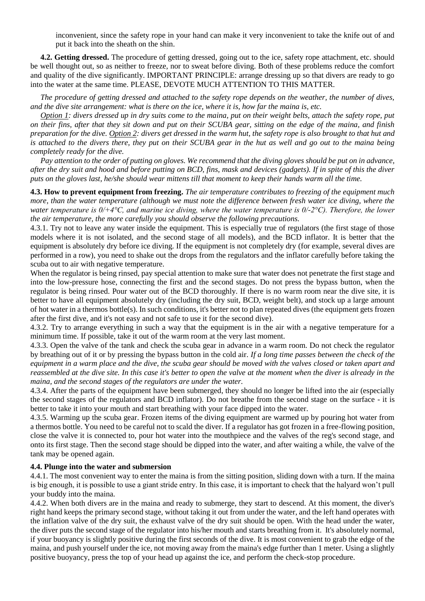inconvenient, since the safety rope in your hand can make it very inconvenient to take the knife out of and put it back into the sheath on the shin.

**4.2. Getting dressed.** The procedure of getting dressed, going out to the ice, safety rope attachment, etc. should be well thought out, so as neither to freeze, nor to sweat before diving. Both of these problems reduce the comfort and quality of the dive significantly. IMPORTANT PRINCIPLE: arrange dressing up so that divers are ready to go into the water at the same time. PLEASE, DEVOTE MUCH ATTENTION TO THIS MATTER.

*The procedure of getting dressed and attached to the safety rope depends on the weather, the number of dives, and the dive site arrangement: what is there on the ice, where it is, how far the maina is, etc.*

*Option 1: divers dressed up in dry suits come to the maina, put on their weight belts, attach the safety rope, put on their fins, after that they sit down and put on their SCUBA gear, sitting on the edge of the maina, and finish preparation for the dive. Option 2: divers get dressed in the warm hut, the safety rope is also brought to that hut and is attached to the divers there, they put on their SCUBA gear in the hut as well and go out to the maina being completely ready for the dive.*

*Pay attention to the order of putting on gloves. We recommend that the diving gloves should be put on in advance, after the dry suit and hood and before putting on BCD, fins, mask and devices (gadgets). If in spite of this the diver puts on the gloves last, he/she should wear mittens till that moment to keep their hands warm all the time.*

**4.3. How to prevent equipment from freezing.** *The air temperature contributes to freezing of the equipment much more, than the water temperature (although we must note the difference between fresh water ice diving, where the water temperature is 0/+4°C, and marine ice diving, where the water temperature is 0/-2°C). Therefore, the lower the air temperature, the more carefully you should observe the following precautions.*

4.3.1. Try not to leave any water inside the equipment. This is especially true of regulators (the first stage of those models where it is not isolated, and the second stage of all models), and the BCD inflator. It is better that the equipment is absolutely dry before ice diving. If the equipment is not completely dry (for example, several dives are performed in a row), you need to shake out the drops from the regulators and the inflator carefully before taking the scuba out to air with negative temperature.

When the regulator is being rinsed, pay special attention to make sure that water does not penetrate the first stage and into the low-pressure hose, connecting the first and the second stages. Do not press the bypass button, when the regulator is being rinsed. Pour water out of the BCD thoroughly. If there is no warm room near the dive site, it is better to have all equipment absolutely dry (including the dry suit, BCD, weight belt), and stock up a large amount of hot water in a thermos bottle(s). In such conditions, it's better not to plan repeated dives (the equipment gets frozen after the first dive, and it's not easy and not safe to use it for the second dive).

4.3.2. Try to arrange everything in such a way that the equipment is in the air with a negative temperature for a minimum time. If possible, take it out of the warm room at the very last moment.

4.3.3. Open the valve of the tank and check the scuba gear in advance in a warm room. Do not check the regulator by breathing out of it or by pressing the bypass button in the cold air. *If a long time passes between the check of the equipment in a warm place and the dive, the scuba gear should be moved with the valves closed or taken apart and reassembled at the dive site. In this case it's better to open the valve at the moment when the diver is already in the maina, and the second stages of the regulators are under the water.*

4.3.4. After the parts of the equipment have been submerged, they should no longer be lifted into the air (especially the second stages of the regulators and BCD inflator). Do not breathe from the second stage on the surface - it is better to take it into your mouth and start breathing with your face dipped into the water.

4.3.5. Warming up the scuba gear. Frozen items of the diving equipment are warmed up by pouring hot water from a thermos bottle. You need to be careful not to scald the diver. If a regulator has got frozen in a free-flowing position, close the valve it is connected to, pour hot water into the mouthpiece and the valves of the reg's second stage, and onto its first stage. Then the second stage should be dipped into the water, and after waiting a while, the valve of the tank may be opened again.

#### **4.4. Plunge into the water and submersion**

4.4.1. The most convenient way to enter the maina is from the sitting position, sliding down with a turn. If the maina is big enough, it is possible to use a giant stride entry. In this case, it is important to check that the halyard won't pull your buddy into the maina.

4.4.2. When both divers are in the maina and ready to submerge, they start to descend. At this moment, the diver's right hand keeps the primary second stage, without taking it out from under the water, and the left hand operates with the inflation valve of the dry suit, the exhaust valve of the dry suit should be open. With the head under the water, the diver puts the second stage of the regulator into his/her mouth and starts breathing from it. It's absolutely normal, if your buoyancy is slightly positive during the first seconds of the dive. It is most convenient to grab the edge of the maina, and push yourself under the ice, not moving away from the maina's edge further than 1 meter. Using a slightly positive buoyancy, press the top of your head up against the ice, and perform the check-stop procedure.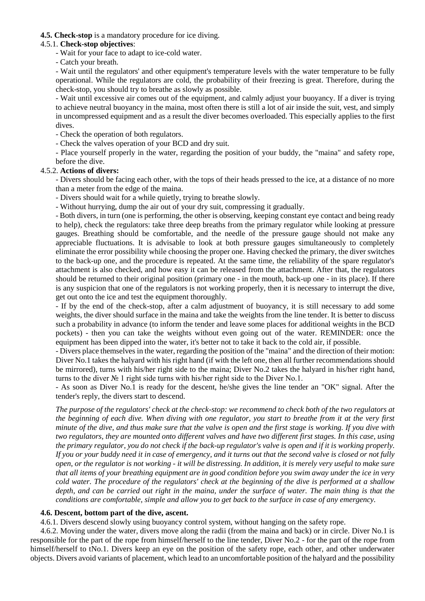# **4.5. Check-stop** is a mandatory procedure for ice diving.

#### 4.5.1. **Check-stop objectives**:

- Wait for your face to adapt to ice-cold water.

- Catch your breath.

- Wait until the regulators' and other equipment's temperature levels with the water temperature to be fully operational. While the regulators are cold, the probability of their freezing is great. Therefore, during the check-stop, you should try to breathe as slowly as possible.

- Wait until excessive air comes out of the equipment, and calmly adjust your buoyancy. If a diver is trying to achieve neutral buoyancy in the maina, most often there is still a lot of air inside the suit, vest, and simply in uncompressed equipment and as a result the diver becomes overloaded. This especially applies to the first dives.

- Check the operation of both regulators.

- Check the valves operation of your BCD and dry suit.

- Place yourself properly in the water, regarding the position of your buddy, the "maina" and safety rope, before the dive.

# 4.5.2. **Actions of divers:**

- Divers should be facing each other, with the tops of their heads pressed to the ice, at a distance of no more than a meter from the edge of the maina.

- Divers should wait for a while quietly, trying to breathe slowly.

- Without hurrying, dump the air out of your dry suit, compressing it gradually.

- Both divers, in turn (one is performing, the other is observing, keeping constant eye contact and being ready to help), check the regulators: take three deep breaths from the primary regulator while looking at pressure gauges. Breathing should be comfortable, and the needle of the pressure gauge should not make any appreciable fluctuations. It is advisable to look at both pressure gauges simultaneously to completely eliminate the error possibility while choosing the proper one. Having checked the primary, the diver switches to the back-up one, and the procedure is repeated. At the same time, the reliability of the spare regulator's attachment is also checked, and how easy it can be released from the attachment. After that, the regulators should be returned to their original position (primary one - in the mouth, back-up one - in its place). If there is any suspicion that one of the regulators is not working properly, then it is necessary to interrupt the dive, get out onto the ice and test the equipment thoroughly.

- If by the end of the check-stop, after a calm adjustment of buoyancy, it is still necessary to add some weights, the diver should surface in the maina and take the weights from the line tender. It is better to discuss such a probability in advance (to inform the tender and leave some places for additional weights in the BCD pockets) - then you can take the weights without even going out of the water. REMINDER: once the equipment has been dipped into the water, it's better not to take it back to the cold air, if possible.

- Divers place themselves in the water, regarding the position of the "maina" and the direction of their motion: Diver No.1 takes the halyard with his right hand (if with the left one, then all further recommendations should be mirrored), turns with his/her right side to the maina; Diver No.2 takes the halyard in his/her right hand, turns to the diver № 1 right side turns with his/her right side to the Diver No.1.

- As soon as Diver No.1 is ready for the descent, he/she gives the line tender an "OK" signal. After the tender's reply, the divers start to descend.

*The purpose of the regulators' check at the check-stop: we recommend to check both of the two regulators at the beginning of each dive. When diving with one regulator, you start to breathe from it at the very first minute of the dive, and thus make sure that the valve is open and the first stage is working. If you dive with two regulators, they are mounted onto different valves and have two different first stages. In this case, using the primary regulator, you do not check if the back-up regulator's valve is open and if it is working properly. If you or your buddy need it in case of emergency, and it turns out that the second valve is closed or not fully open, or the regulator is not working - it will be distressing. In addition, it is merely very useful to make sure that all items of your breathing equipment are in good condition before you swim away under the ice in very cold water. The procedure of the regulators' check at the beginning of the dive is performed at a shallow depth, and can be carried out right in the maina, under the surface of water. The main thing is that the conditions are comfortable, simple and allow you to get back to the surface in case of any emergency.*

# **4.6. Descent, bottom part of the dive, ascent.**

4.6.1. Divers descend slowly using buoyancy control system, without hanging on the safety rope.

4.6.2. Moving under the water, divers move along the radii (from the maina and back) or in circle. Diver No.1 is responsible for the part of the rope from himself/herself to the line tender, Diver No.2 - for the part of the rope from himself/herself to tNo.1. Divers keep an eye on the position of the safety rope, each other, and other underwater objects. Divers avoid variants of placement, which lead to an uncomfortable position of the halyard and the possibility